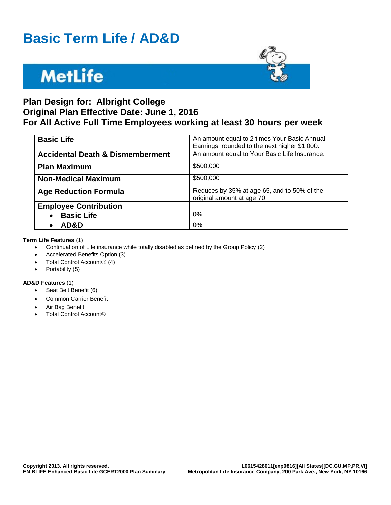### **Basic Term Life / AD&D**

## **MetLife**



### **Plan Design for: Albright College Original Plan Effective Date: June 1, 2016 For All Active Full Time Employees working at least 30 hours per week**

| <b>Basic Life</b>                           | An amount equal to 2 times Your Basic Annual  |
|---------------------------------------------|-----------------------------------------------|
|                                             | Earnings, rounded to the next higher \$1,000. |
|                                             |                                               |
| <b>Accidental Death &amp; Dismemberment</b> | An amount equal to Your Basic Life Insurance. |
|                                             |                                               |
| <b>Plan Maximum</b>                         | \$500,000                                     |
|                                             |                                               |
| <b>Non-Medical Maximum</b>                  | \$500,000                                     |
|                                             |                                               |
| <b>Age Reduction Formula</b>                | Reduces by 35% at age 65, and to 50% of the   |
|                                             | original amount at age 70                     |
|                                             |                                               |
| <b>Employee Contribution</b>                |                                               |
| <b>Basic Life</b><br>$\bullet$              | 0%                                            |
|                                             |                                               |
| AD&D                                        | 0%                                            |
|                                             |                                               |

#### **Term Life Features** (1)

- Continuation of Life insurance while totally disabled as defined by the Group Policy (2)
- Accelerated Benefits Option (3)
- Total Control Account $@(4)$
- Portability (5)

#### **AD&D Features** (1)

- Seat Belt Benefit (6)
- Common Carrier Benefit
- Air Bag Benefit
- Total Control Account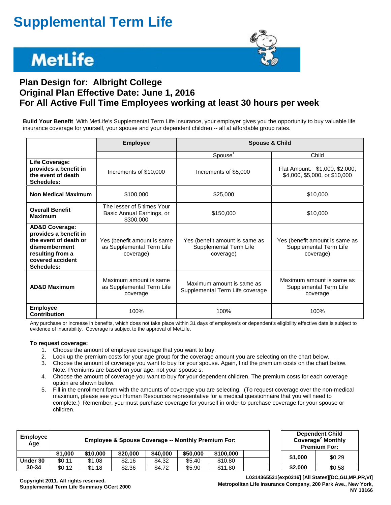## **Supplemental Term Life**

## **MetLife**



### **Plan Design for: Albright College Original Plan Effective Date: June 1, 2016 For All Active Full Time Employees working at least 30 hours per week**

**Build Your Benefit** With MetLife's Supplemental Term Life insurance, your employer gives you the opportunity to buy valuable life insurance coverage for yourself, your spouse and your dependent children -- all at affordable group rates.

|                                                                                                                                                           | <b>Employee</b>                                                       | <b>Spouse &amp; Child</b>                                             |                                                                       |  |  |
|-----------------------------------------------------------------------------------------------------------------------------------------------------------|-----------------------------------------------------------------------|-----------------------------------------------------------------------|-----------------------------------------------------------------------|--|--|
|                                                                                                                                                           |                                                                       | Spouse <sup>'</sup>                                                   | Child                                                                 |  |  |
| Life Coverage:<br>provides a benefit in<br>the event of death<br><b>Schedules:</b>                                                                        | Increments of \$10,000                                                | Increments of \$5,000                                                 | Flat Amount: \$1,000, \$2,000,<br>\$4,000, \$5,000, or \$10,000       |  |  |
| <b>Non Medical Maximum</b>                                                                                                                                | \$100,000                                                             | \$25,000                                                              | \$10,000                                                              |  |  |
| <b>Overall Benefit</b><br><b>Maximum</b>                                                                                                                  | The lesser of 5 times Your<br>Basic Annual Earnings, or<br>\$300,000  | \$150,000                                                             | \$10,000                                                              |  |  |
| <b>AD&amp;D Coverage:</b><br>provides a benefit in<br>the event of death or<br>dismemberment<br>resulting from a<br>covered accident<br><b>Schedules:</b> | Yes (benefit amount is same<br>as Supplemental Term Life<br>coverage) | Yes (benefit amount is same as<br>Supplemental Term Life<br>coverage) | Yes (benefit amount is same as<br>Supplemental Term Life<br>coverage) |  |  |
| <b>AD&amp;D Maximum</b>                                                                                                                                   | Maximum amount is same<br>as Supplemental Term Life<br>coverage       | Maximum amount is same as<br>Supplemental Term Life coverage          | Maximum amount is same as<br>Supplemental Term Life<br>coverage       |  |  |
| <b>Employee</b><br><b>Contribution</b>                                                                                                                    | 100%                                                                  | 100%                                                                  | 100%                                                                  |  |  |

Any purchase or increase in benefits, which does not take place within 31 days of employee's or dependent's eligibility effective date is subject to evidence of insurability. Coverage is subject to the approval of MetLife.

#### **To request coverage:**

- 1. Choose the amount of employee coverage that you want to buy.
- 2. Look up the premium costs for your age group for the coverage amount you are selecting on the chart below.
- 3. Choose the amount of coverage you want to buy for your spouse. Again, find the premium costs on the chart below. Note: Premiums are based on your age, not your spouse's.
- 4. Choose the amount of coverage you want to buy for your dependent children. The premium costs for each coverage option are shown below.
- 5. Fill in the enrollment form with the amounts of coverage you are selecting. (To request coverage over the non-medical maximum, please see your Human Resources representative for a medical questionnaire that you will need to complete.) Remember, you must purchase coverage for yourself in order to purchase coverage for your spouse or children.

| <b>Employee</b><br>Age | <b>Employee &amp; Spouse Coverage -- Monthly Premium For:</b> |          |          |          |          |           |  | <b>Dependent Child</b><br>Coverage <sup>2</sup> Monthly<br><b>Premium For:</b> |        |
|------------------------|---------------------------------------------------------------|----------|----------|----------|----------|-----------|--|--------------------------------------------------------------------------------|--------|
|                        | \$1,000                                                       | \$10,000 | \$20,000 | \$40,000 | \$50,000 | \$100,000 |  | \$1.000                                                                        | \$0.29 |
| Under 30               | \$0.11                                                        | \$1.08   | \$2.16   | \$4.32   | \$5.40   | \$10.80   |  |                                                                                |        |
| $30 - 34$              | \$0.12                                                        | \$1.18   | \$2.36   | \$4.72   | \$5.90   | \$11.80   |  | \$2,000                                                                        | \$0.58 |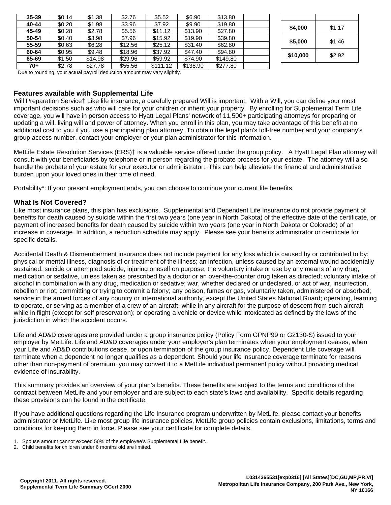| 35-39 | \$0.14 | \$1.38  | \$2.76  | \$5.52   | \$6.90   | \$13.80  |          |        |
|-------|--------|---------|---------|----------|----------|----------|----------|--------|
| 40-44 | \$0.20 | \$1.98  | \$3.96  | \$7.92   | \$9.90   | \$19.80  | \$4,000  | \$1.17 |
| 45-49 | \$0.28 | \$2.78  | \$5.56  | \$11.12  | \$13.90  | \$27.80  |          |        |
| 50-54 | \$0.40 | \$3.98  | \$7.96  | \$15.92  | \$19.90  | \$39.80  | \$5,000  | \$1.46 |
| 55-59 | \$0.63 | \$6.28  | \$12.56 | \$25.12  | \$31.40  | \$62.80  |          |        |
| 60-64 | \$0.95 | \$9.48  | \$18.96 | \$37.92  | \$47.40  | \$94.80  | \$10,000 | \$2.92 |
| 65-69 | \$1.50 | \$14.98 | \$29.96 | \$59.92  | \$74.90  | \$149.80 |          |        |
| $70+$ | \$2.78 | \$27.78 | \$55.56 | \$111.12 | \$138.90 | \$277.80 |          |        |

| \$4,000  | \$1.17 |
|----------|--------|
| \$5,000  | \$1.46 |
| \$10,000 | \$2.92 |

Due to rounding, your actual payroll deduction amount may vary slightly.

#### **Features available with Supplemental Life**

Will Preparation Service† Like life insurance, a carefully prepared Will is important. With a Will, you can define your most important decisions such as who will care for your children or inherit your property. By enrolling for Supplemental Term Life coverage, you will have in person access to Hyatt Legal Plans' network of 11,500+ participating attorneys for preparing or updating a will, living will and power of attorney. When you enroll in this plan, you may take advantage of this benefit at no additional cost to you if you use a participating plan attorney. To obtain the legal plan's toll-free number and your company's group access number, contact your employer or your plan administrator for this information.

MetLife Estate Resolution Services (ERS)† is a valuable service offered under the group policy. A Hyatt Legal Plan attorney will consult with your beneficiaries by telephone or in person regarding the probate process for your estate. The attorney will also handle the probate of your estate for your executor or administrator.. This can help alleviate the financial and administrative burden upon your loved ones in their time of need.

Portability\*: If your present employment ends, you can choose to continue your current life benefits.

#### **What Is Not Covered?**

Like most insurance plans, this plan has exclusions. Supplemental and Dependent Life Insurance do not provide payment of benefits for death caused by suicide within the first two years (one year in North Dakota) of the effective date of the certificate, or payment of increased benefits for death caused by suicide within two years (one year in North Dakota or Colorado) of an increase in coverage. In addition, a reduction schedule may apply. Please see your benefits administrator or certificate for specific details.

Accidental Death & Dismemberment insurance does not include payment for any loss which is caused by or contributed to by: physical or mental illness, diagnosis of or treatment of the illness; an infection, unless caused by an external wound accidentally sustained; suicide or attempted suicide; injuring oneself on purpose; the voluntary intake or use by any means of any drug, medication or sedative, unless taken as prescribed by a doctor or an over-the-counter drug taken as directed; voluntary intake of alcohol in combination with any drug, medication or sedative; war, whether declared or undeclared, or act of war, insurrection, rebellion or riot; committing or trying to commit a felony; any poison, fumes or gas, voluntarily taken, administered or absorbed; service in the armed forces of any country or international authority, except the United States National Guard; operating, learning to operate, or serving as a member of a crew of an aircraft; while in any aircraft for the purpose of descent from such aircraft while in flight (except for self preservation); or operating a vehicle or device while intoxicated as defined by the laws of the jurisdiction in which the accident occurs.

Life and AD&D coverages are provided under a group insurance policy (Policy Form GPNP99 or G2130-S) issued to your employer by MetLife. Life and AD&D coverages under your employer's plan terminates when your employment ceases, when your Life and AD&D contributions cease, or upon termination of the group insurance policy. Dependent Life coverage will terminate when a dependent no longer qualifies as a dependent. Should your life insurance coverage terminate for reasons other than non-payment of premium, you may convert it to a MetLife individual permanent policy without providing medical evidence of insurability.

This summary provides an overview of your plan's benefits. These benefits are subject to the terms and conditions of the contract between MetLife and your employer and are subject to each state's laws and availability. Specific details regarding these provisions can be found in the certificate.

If you have additional questions regarding the Life Insurance program underwritten by MetLife, please contact your benefits administrator or MetLife. Like most group life insurance policies, MetLife group policies contain exclusions, limitations, terms and conditions for keeping them in force. Please see your certificate for complete details.

<sup>1.</sup> Spouse amount cannot exceed 50% of the employee's Supplemental Life benefit.

<sup>2.</sup> Child benefits for children under 6 months old are limited.